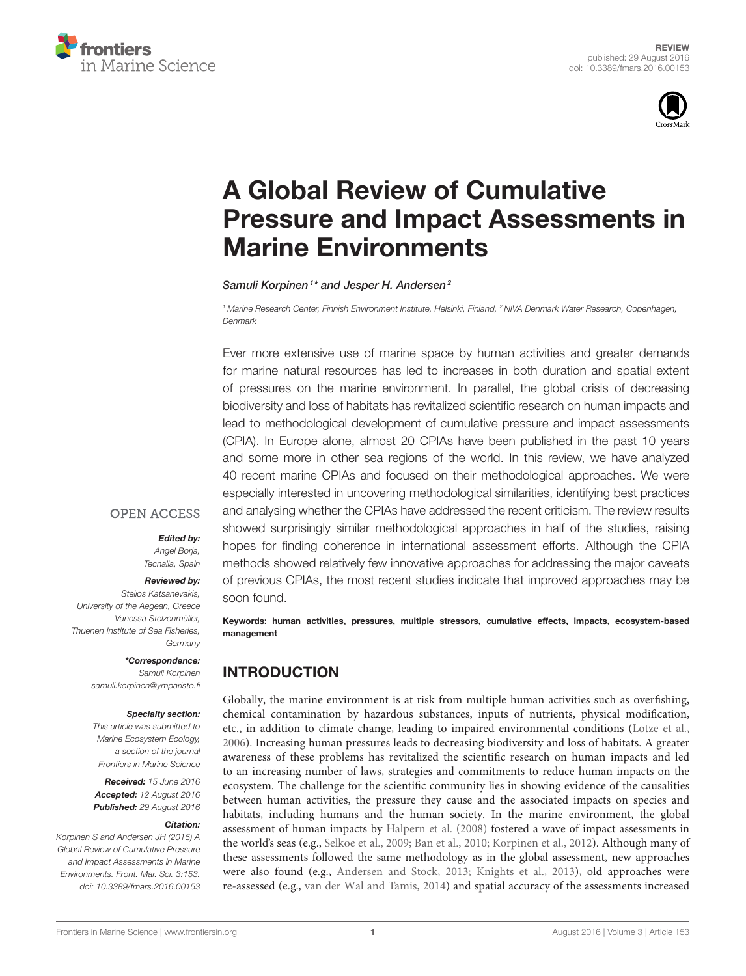



# A Global Review of Cumulative [Pressure and Impact Assessments in](http://journal.frontiersin.org/article/10.3389/fmars.2016.00153/abstract) Marine Environments

[Samuli Korpinen](http://loop.frontiersin.org/people/188034/overview)<sup>1\*</sup> and [Jesper H. Andersen](http://loop.frontiersin.org/people/132428/overview)<sup>2</sup>

<sup>1</sup> Marine Research Center, Finnish Environment Institute, Helsinki, Finland, <sup>2</sup> NIVA Denmark Water Research, Copenhagen, Denmark

Ever more extensive use of marine space by human activities and greater demands for marine natural resources has led to increases in both duration and spatial extent of pressures on the marine environment. In parallel, the global crisis of decreasing biodiversity and loss of habitats has revitalized scientific research on human impacts and lead to methodological development of cumulative pressure and impact assessments (CPIA). In Europe alone, almost 20 CPIAs have been published in the past 10 years and some more in other sea regions of the world. In this review, we have analyzed 40 recent marine CPIAs and focused on their methodological approaches. We were especially interested in uncovering methodological similarities, identifying best practices and analysing whether the CPIAs have addressed the recent criticism. The review results showed surprisingly similar methodological approaches in half of the studies, raising hopes for finding coherence in international assessment efforts. Although the CPIA methods showed relatively few innovative approaches for addressing the major caveats of previous CPIAs, the most recent studies indicate that improved approaches may be soon found.

Keywords: human activities, pressures, multiple stressors, cumulative effects, impacts, ecosystem-based management

### INTRODUCTION

Globally, the marine environment is at risk from multiple human activities such as overfishing, chemical contamination by hazardous substances, inputs of nutrients, physical modification, etc., in addition to climate change, leading to impaired environmental conditions [\(Lotze et al.,](#page-9-0) [2006\)](#page-9-0). Increasing human pressures leads to decreasing biodiversity and loss of habitats. A greater awareness of these problems has revitalized the scientific research on human impacts and led to an increasing number of laws, strategies and commitments to reduce human impacts on the ecosystem. The challenge for the scientific community lies in showing evidence of the causalities between human activities, the pressure they cause and the associated impacts on species and habitats, including humans and the human society. In the marine environment, the global assessment of human impacts by [Halpern et al. \(2008\)](#page-9-1) fostered a wave of impact assessments in the world's seas (e.g., [Selkoe et al., 2009;](#page-9-2) [Ban et al., 2010;](#page-8-0) [Korpinen et al., 2012\)](#page-9-3). Although many of these assessments followed the same methodology as in the global assessment, new approaches were also found (e.g., [Andersen and Stock, 2013;](#page-8-1) [Knights et al., 2013\)](#page-9-4), old approaches were re-assessed (e.g., [van der Wal and Tamis, 2014\)](#page-9-5) and spatial accuracy of the assessments increased

**OPEN ACCESS** 

#### Edited by:

Angel Borja, Tecnalia, Spain

#### Reviewed by:

Stelios Katsanevakis, University of the Aegean, Greece Vanessa Stelzenmüller, Thuenen Institute of Sea Fisheries, **Germany** 

#### \*Correspondence:

Samuli Korpinen [samuli.korpinen@ymparisto.fi](mailto:samuli.korpinen@ymparisto.fi)

#### Specialty section:

This article was submitted to Marine Ecosystem Ecology, a section of the journal Frontiers in Marine Science

Received: 15 June 2016 Accepted: 12 August 2016 Published: 29 August 2016

#### Citation:

Korpinen S and Andersen JH (2016) A Global Review of Cumulative Pressure and Impact Assessments in Marine Environments. Front. Mar. Sci. 3:153. doi: [10.3389/fmars.2016.00153](http://dx.doi.org/10.3389/fmars.2016.00153)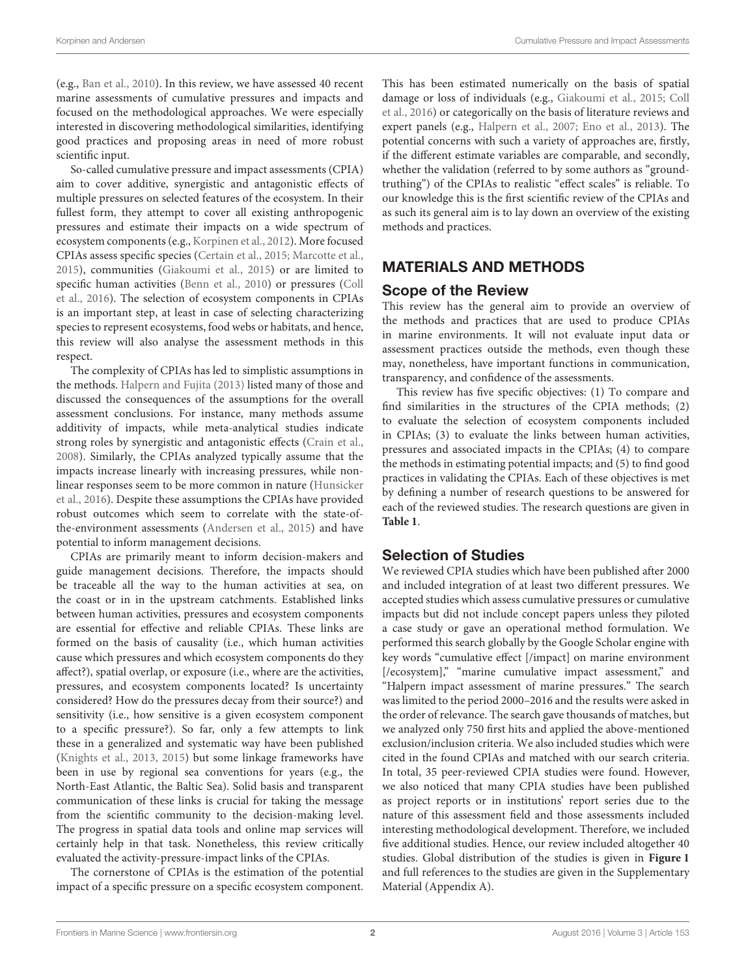(e.g., [Ban et al., 2010\)](#page-8-0). In this review, we have assessed 40 recent marine assessments of cumulative pressures and impacts and focused on the methodological approaches. We were especially interested in discovering methodological similarities, identifying good practices and proposing areas in need of more robust scientific input.

So-called cumulative pressure and impact assessments (CPIA) aim to cover additive, synergistic and antagonistic effects of multiple pressures on selected features of the ecosystem. In their fullest form, they attempt to cover all existing anthropogenic pressures and estimate their impacts on a wide spectrum of ecosystem components (e.g., [Korpinen et al., 2012\)](#page-9-3). More focused CPIAs assess specific species [\(Certain et al., 2015;](#page-8-2) [Marcotte et al.,](#page-9-6) [2015\)](#page-9-6), communities [\(Giakoumi et al., 2015\)](#page-9-7) or are limited to specific human activities [\(Benn et al., 2010\)](#page-8-3) or pressures (Coll et al., [2016\)](#page-8-4). The selection of ecosystem components in CPIAs is an important step, at least in case of selecting characterizing species to represent ecosystems, food webs or habitats, and hence, this review will also analyse the assessment methods in this respect.

The complexity of CPIAs has led to simplistic assumptions in the methods. [Halpern and Fujita \(2013\)](#page-9-8) listed many of those and discussed the consequences of the assumptions for the overall assessment conclusions. For instance, many methods assume additivity of impacts, while meta-analytical studies indicate strong roles by synergistic and antagonistic effects [\(Crain et al.,](#page-8-5) [2008\)](#page-8-5). Similarly, the CPIAs analyzed typically assume that the impacts increase linearly with increasing pressures, while nonlinear responses seem to be more common in nature (Hunsicker et al., [2016\)](#page-9-9). Despite these assumptions the CPIAs have provided robust outcomes which seem to correlate with the state-ofthe-environment assessments [\(Andersen et al., 2015\)](#page-8-6) and have potential to inform management decisions.

CPIAs are primarily meant to inform decision-makers and guide management decisions. Therefore, the impacts should be traceable all the way to the human activities at sea, on the coast or in in the upstream catchments. Established links between human activities, pressures and ecosystem components are essential for effective and reliable CPIAs. These links are formed on the basis of causality (i.e., which human activities cause which pressures and which ecosystem components do they affect?), spatial overlap, or exposure (i.e., where are the activities, pressures, and ecosystem components located? Is uncertainty considered? How do the pressures decay from their source?) and sensitivity (i.e., how sensitive is a given ecosystem component to a specific pressure?). So far, only a few attempts to link these in a generalized and systematic way have been published [\(Knights et al., 2013,](#page-9-4) [2015\)](#page-9-10) but some linkage frameworks have been in use by regional sea conventions for years (e.g., the North-East Atlantic, the Baltic Sea). Solid basis and transparent communication of these links is crucial for taking the message from the scientific community to the decision-making level. The progress in spatial data tools and online map services will certainly help in that task. Nonetheless, this review critically evaluated the activity-pressure-impact links of the CPIAs.

The cornerstone of CPIAs is the estimation of the potential impact of a specific pressure on a specific ecosystem component. This has been estimated numerically on the basis of spatial damage or loss of individuals (e.g., [Giakoumi et al., 2015;](#page-9-7) Coll et al., [2016\)](#page-8-4) or categorically on the basis of literature reviews and expert panels (e.g., [Halpern et al., 2007;](#page-9-11) [Eno et al., 2013\)](#page-9-12). The potential concerns with such a variety of approaches are, firstly, if the different estimate variables are comparable, and secondly, whether the validation (referred to by some authors as "groundtruthing") of the CPIAs to realistic "effect scales" is reliable. To our knowledge this is the first scientific review of the CPIAs and as such its general aim is to lay down an overview of the existing methods and practices.

### MATERIALS AND METHODS

#### Scope of the Review

This review has the general aim to provide an overview of the methods and practices that are used to produce CPIAs in marine environments. It will not evaluate input data or assessment practices outside the methods, even though these may, nonetheless, have important functions in communication, transparency, and confidence of the assessments.

This review has five specific objectives: (1) To compare and find similarities in the structures of the CPIA methods; (2) to evaluate the selection of ecosystem components included in CPIAs; (3) to evaluate the links between human activities, pressures and associated impacts in the CPIAs; (4) to compare the methods in estimating potential impacts; and (5) to find good practices in validating the CPIAs. Each of these objectives is met by defining a number of research questions to be answered for each of the reviewed studies. The research questions are given in **[Table 1](#page-2-0)**.

#### Selection of Studies

We reviewed CPIA studies which have been published after 2000 and included integration of at least two different pressures. We accepted studies which assess cumulative pressures or cumulative impacts but did not include concept papers unless they piloted a case study or gave an operational method formulation. We performed this search globally by the Google Scholar engine with key words "cumulative effect [/impact] on marine environment [/ecosystem]," "marine cumulative impact assessment," and "Halpern impact assessment of marine pressures." The search was limited to the period 2000–2016 and the results were asked in the order of relevance. The search gave thousands of matches, but we analyzed only 750 first hits and applied the above-mentioned exclusion/inclusion criteria. We also included studies which were cited in the found CPIAs and matched with our search criteria. In total, 35 peer-reviewed CPIA studies were found. However, we also noticed that many CPIA studies have been published as project reports or in institutions' report series due to the nature of this assessment field and those assessments included interesting methodological development. Therefore, we included five additional studies. Hence, our review included altogether 40 studies. Global distribution of the studies is given in **[Figure 1](#page-3-0)** and full references to the studies are given in the Supplementary Material (Appendix A).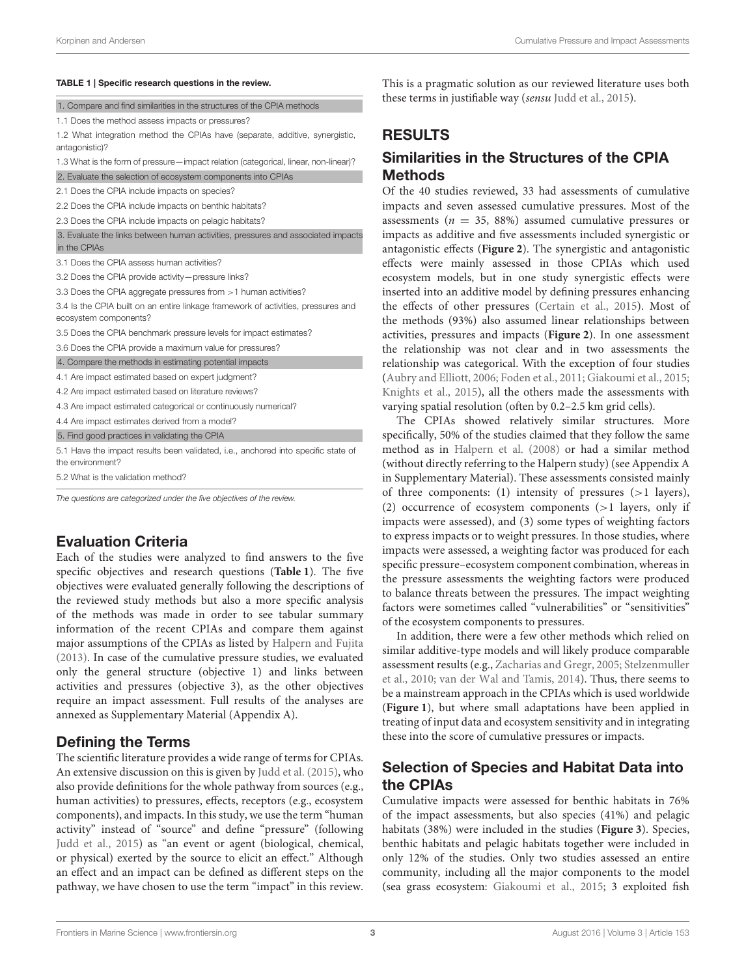#### <span id="page-2-0"></span>TABLE 1 | Specific research questions in the review.

| 1. Compare and find similarities in the structures of the CPIA methods                                     |
|------------------------------------------------------------------------------------------------------------|
| 1.1 Does the method assess impacts or pressures?                                                           |
| 1.2 What integration method the CPIAs have (separate, additive, synergistic,<br>antagonistic)?             |
| 1.3 What is the form of pressure—impact relation (categorical, linear, non-linear)?                        |
| 2. Evaluate the selection of ecosystem components into CPIAs                                               |
| 2.1 Does the CPIA include impacts on species?                                                              |
| 2.2 Does the CPIA include impacts on benthic habitats?                                                     |
| 2.3 Does the CPIA include impacts on pelagic habitats?                                                     |
| 3. Evaluate the links between human activities, pressures and associated impacts<br>in the CPIAs           |
| 3.1 Does the CPIA assess human activities?                                                                 |
| 3.2 Does the CPIA provide activity-pressure links?                                                         |
| 3.3 Does the CPIA aggregate pressures from > 1 human activities?                                           |
| 3.4 Is the CPIA built on an entire linkage framework of activities, pressures and<br>ecosystem components? |
| 3.5 Does the CPIA benchmark pressure levels for impact estimates?                                          |
| 3.6 Does the CPIA provide a maximum value for pressures?                                                   |
| 4. Compare the methods in estimating potential impacts                                                     |
| 4.1 Are impact estimated based on expert judgment?                                                         |
| 4.2 Are impact estimated based on literature reviews?                                                      |
| 4.3 Are impact estimated categorical or continuously numerical?                                            |
| 4.4 Are impact estimates derived from a model?                                                             |
| 5. Find good practices in validating the CPIA                                                              |
| 5.1 Have the impact results been validated, i.e., anchored into specific state of<br>the environment?      |
| 5.2 What is the validation method?                                                                         |
|                                                                                                            |

The questions are categorized under the five objectives of the review.

### Evaluation Criteria

Each of the studies were analyzed to find answers to the five specific objectives and research questions (**[Table 1](#page-2-0)**). The five objectives were evaluated generally following the descriptions of the reviewed study methods but also a more specific analysis of the methods was made in order to see tabular summary information of the recent CPIAs and compare them against major assumptions of the CPIAs as listed by [Halpern and Fujita](#page-9-8) [\(2013\)](#page-9-8). In case of the cumulative pressure studies, we evaluated only the general structure (objective 1) and links between activities and pressures (objective 3), as the other objectives require an impact assessment. Full results of the analyses are annexed as Supplementary Material (Appendix A).

#### Defining the Terms

The scientific literature provides a wide range of terms for CPIAs. An extensive discussion on this is given by [Judd et al. \(2015\)](#page-9-13), who also provide definitions for the whole pathway from sources (e.g., human activities) to pressures, effects, receptors (e.g., ecosystem components), and impacts. In this study, we use the term "human activity" instead of "source" and define "pressure" (following [Judd et al., 2015\)](#page-9-13) as "an event or agent (biological, chemical, or physical) exerted by the source to elicit an effect." Although an effect and an impact can be defined as different steps on the pathway, we have chosen to use the term "impact" in this review. This is a pragmatic solution as our reviewed literature uses both these terms in justifiable way (sensu [Judd et al., 2015\)](#page-9-13).

# **ESULTS**

### milarities in the Structures of the CPIA Methods

the 40 studies reviewed, 33 had assessments of cumulative pacts and seven assessed cumulative pressures. Most of the essments ( $n = 35, 88\%)$  assumed cumulative pressures or pacts as additive and five assessments included synergistic or agonistic effects ([Figure 2](#page-3-1)). The synergistic and antagonistic ects were mainly assessed in those CPIAs which used system models, but in one study synergistic effects were erted into an additive model by defining pressures enhancing effects of other pressures [\(Certain et al., 2015\)](#page-8-2). Most of methods (93%) also assumed linear relationships between vities, pressures and impacts ([Figure 2](#page-3-1)). In one assessment relationship was not clear and in two assessments the tionship was categorical. With the exception of four studies [\(Aubry and Elliott, 2006;](#page-8-7) [Foden et al., 2011;](#page-9-14) [Giakoumi et al., 2015;](#page-9-7) ights et al., 2015), all the others made the assessments with ying spatial resolution (often by 0.2–2.5 km grid cells).

The CPIAs showed relatively similar structures. More cifically, 50% of the studies claimed that they follow the same thod as in [Halpern et al. \(2008\)](#page-9-1) or had a similar method thout directly referring to the Halpern study) (see Appendix A iupplementary Material). These assessments consisted mainly of three components: (1) intensity of pressures (>1 layers), (2) occurrence of ecosystem components (>1 layers, only if impacts were assessed), and (3) some types of weighting factors to express impacts or to weight pressures. In those studies, where impacts were assessed, a weighting factor was produced for each specific pressure–ecosystem component combination, whereas in the pressure assessments the weighting factors were produced to balance threats between the pressures. The impact weighting factors were sometimes called "vulnerabilities" or "sensitivities" of the ecosystem components to pressures.

In addition, there were a few other methods which relied on similar additive-type models and will likely produce comparable assessment results (e.g., [Zacharias and Gregr, 2005;](#page-10-0) Stelzenmuller et al., [2010;](#page-9-15) [van der Wal and Tamis, 2014\)](#page-9-5). Thus, there seems to be a mainstream approach in the CPIAs which is used worldwide (**[Figure 1](#page-3-0)**), but where small adaptations have been applied in treating of input data and ecosystem sensitivity and in integrating these into the score of cumulative pressures or impacts.

# Selection of Species and Habitat Data into the CPIAs

Cumulative impacts were assessed for benthic habitats in 76% of the impact assessments, but also species (41%) and pelagic habitats (38%) were included in the studies (**[Figure 3](#page-4-0)**). Species, benthic habitats and pelagic habitats together were included in only 12% of the studies. Only two studies assessed an entire community, including all the major components to the model (sea grass ecosystem: [Giakoumi et al., 2015;](#page-9-7) 3 exploited fish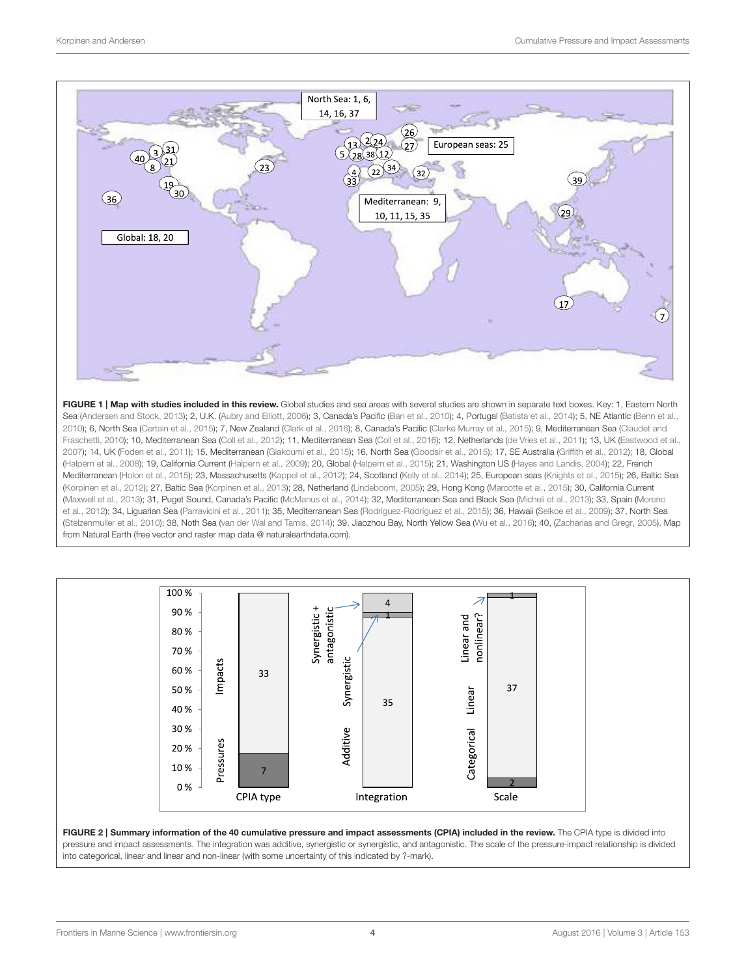

<span id="page-3-0"></span>FIGURE 1 | Map with studies included in this review. Global studies and sea areas with several studies are shown in separate text boxes. Key: 1. Eastern North Sea [\(Andersen and Stock, 2013\)](#page-8-1); 2, U.K. [\(Aubry and Elliott, 2006\)](#page-8-7); 3, Canada's Pacific [\(Ban et al., 2010\)](#page-8-0); 4, Portugal [\(Batista et al., 2014\)](#page-8-8); 5, NE Atlantic [\(Benn et al.,](#page-8-3) [2010\)](#page-8-3); 6, North Sea [\(Certain et al., 2015\)](#page-8-2); 7, New Zealand [\(Clark et al., 2016\)](#page-8-9); 8, Canada's Pacific [\(Clarke Murray et al., 2015\)](#page-8-10); 9, Mediterranean Sea (Claudet and Fraschetti, [2010\)](#page-8-11); 10, Mediterranean Sea [\(Coll et al., 2012\)](#page-8-12); 11, Mediterranean Sea [\(Coll et al., 2016\)](#page-8-4); 12, Netherlands [\(de Vries et al., 2011\)](#page-8-13); 13, UK [\(Eastwood et al.,](#page-8-14) [2007\)](#page-8-14); 14, UK [\(Foden et al., 2011\)](#page-9-14); 15, Mediterranean [\(Giakoumi et al., 2015\)](#page-9-7); 16, North Sea [\(Goodsir et al., 2015\)](#page-9-16); 17, SE Australia [\(Griffith et al., 2012\)](#page-9-17); 18, Global [\(Halpern et al., 2008\)](#page-9-1); 19, California Current [\(Halpern et al., 2009\)](#page-9-18); 20, Global [\(Halpern et al., 2015\)](#page-9-19); 21, Washington US [\(Hayes and Landis, 2004\)](#page-9-20); 22, French Mediterranean [\(Holon et al., 2015\)](#page-9-21); 23, Massachusetts [\(Kappel et al., 2012\)](#page-9-22); 24, Scotland [\(Kelly et al., 2014\)](#page-9-23); 25, European seas [\(Knights et al., 2015\)](#page-9-10); 26, Baltic Sea [\(Korpinen et al., 2012\)](#page-9-3); 27, Baltic Sea [\(Korpinen et al., 2013\)](#page-9-24); 28, Netherland [\(Lindeboom, 2005\)](#page-9-25); 29, Hong Kong [\(Marcotte et al., 2015\)](#page-9-6); 30, California Current [\(Maxwell et al., 2013\)](#page-9-26); 31, Puget Sound, Canada's Pacific [\(McManus et al., 2014\)](#page-9-27); 32, Mediterranean Sea and Black Sea [\(Micheli et al., 2013\)](#page-9-28); 33, Spain (Moreno et al., [2012\)](#page-9-29); 34, Liguarian Sea [\(Parravicini et al., 2011\)](#page-9-30); 35, Mediterranean Sea [\(Rodríguez-Rodríguez et al., 2015\)](#page-9-31); 36, Hawaii [\(Selkoe et al., 2009\)](#page-9-2); 37, North Sea [\(Stelzenmuller et al., 2010\)](#page-9-15); 38, Noth Sea [\(van der Wal and Tamis, 2014\)](#page-9-5); 39, Jiaozhou Bay, North Yellow Sea [\(Wu et al., 2016\)](#page-10-1); 40, [\(Zacharias and Gregr, 2005\)](#page-10-0). Map from Natural Earth (free vector and raster map data @ [naturalearthdata.com\)](http://naturalearthdata.com).



<span id="page-3-1"></span>FIGURE 2 | Summary information of the 40 cumulative pressure and impact assessments (CPIA) included in the review. The CPIA type is divided into pressure and impact assessments. The integration was additive, synergistic or synergistic, and antagonistic. The scale of the pressure-impact relationship is divided into categorical, linear and linear and non-linear (with some uncertainty of this indicated by ?-mark).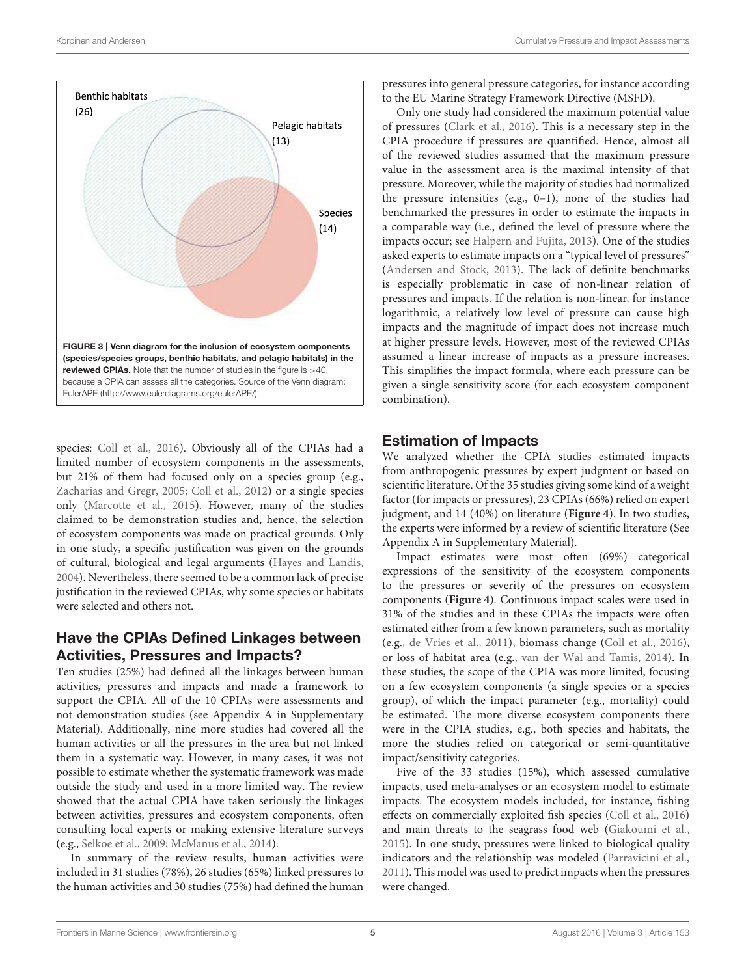

<span id="page-4-0"></span>species: [Coll et al., 2016\)](#page-8-4). Obviously all of the CPIAs had a limited number of ecosystem components in the assessments, but 21% of them had focused only on a species group (e.g., [Zacharias and Gregr, 2005;](#page-10-0) [Coll et al., 2012\)](#page-8-12) or a single species only [\(Marcotte et al., 2015\)](#page-9-6). However, many of the studies claimed to be demonstration studies and, hence, the selection of ecosystem components was made on practical grounds. Only in one study, a specific justification was given on the grounds of cultural, biological and legal arguments [\(Hayes and Landis,](#page-9-20) [2004\)](#page-9-20). Nevertheless, there seemed to be a common lack of precise justification in the reviewed CPIAs, why some species or habitats were selected and others not.

#### Have the CPIAs Defined Linkages between Activities, Pressures and Impacts?

Ten studies (25%) had defined all the linkages between human activities, pressures and impacts and made a framework to support the CPIA. All of the 10 CPIAs were assessments and not demonstration studies (see Appendix A in Supplementary Material). Additionally, nine more studies had covered all the human activities or all the pressures in the area but not linked them in a systematic way. However, in many cases, it was not possible to estimate whether the systematic framework was made outside the study and used in a more limited way. The review showed that the actual CPIA have taken seriously the linkages between activities, pressures and ecosystem components, often consulting local experts or making extensive literature surveys (e.g., [Selkoe et al., 2009;](#page-9-2) [McManus et al., 2014\)](#page-9-27).

In summary of the review results, human activities were included in 31 studies (78%), 26 studies (65%) linked pressures to the human activities and 30 studies (75%) had defined the human

pressures into general pressure categories, for instance according to the EU Marine Strategy Framework Directive (MSFD).

Only one study had considered the maximum potential value of pressures [\(Clark et al., 2016\)](#page-8-9). This is a necessary step in the CPIA procedure if pressures are quantified. Hence, almost all of the reviewed studies assumed that the maximum pressure value in the assessment area is the maximal intensity of that pressure. Moreover, while the majority of studies had normalized the pressure intensities (e.g., 0–1), none of the studies had benchmarked the pressures in order to estimate the impacts in a comparable way (i.e., defined the level of pressure where the impacts occur; see [Halpern and Fujita, 2013\)](#page-9-8). One of the studies asked experts to estimate impacts on a "typical level of pressures" [\(Andersen and Stock, 2013\)](#page-8-1). The lack of definite benchmarks is especially problematic in case of non-linear relation of pressures and impacts. If the relation is non-linear, for instance logarithmic, a relatively low level of pressure can cause high impacts and the magnitude of impact does not increase much at higher pressure levels. However, most of the reviewed CPIAs assumed a linear increase of impacts as a pressure increases. This simplifies the impact formula, where each pressure can be given a single sensitivity score (for each ecosystem component combination).

#### Estimation of Impacts

We analyzed whether the CPIA studies estimated impacts from anthropogenic pressures by expert judgment or based on scientific literature. Of the 35 studies giving some kind of a weight factor (for impacts or pressures), 23 CPIAs (66%) relied on expert judgment, and 14 (40%) on literature (**[Figure 4](#page-5-0)**). In two studies, the experts were informed by a review of scientific literature (See Appendix A in Supplementary Material).

Impact estimates were most often (69%) categorical expressions of the sensitivity of the ecosystem components to the pressures or severity of the pressures on ecosystem components (**[Figure 4](#page-5-0)**). Continuous impact scales were used in 31% of the studies and in these CPIAs the impacts were often estimated either from a few known parameters, such as mortality (e.g., [de Vries et al., 2011\)](#page-8-13), biomass change [\(Coll et al., 2016\)](#page-8-4), or loss of habitat area (e.g., [van der Wal and Tamis, 2014\)](#page-9-5). In these studies, the scope of the CPIA was more limited, focusing on a few ecosystem components (a single species or a species group), of which the impact parameter (e.g., mortality) could be estimated. The more diverse ecosystem components there were in the CPIA studies, e.g., both species and habitats, the more the studies relied on categorical or semi-quantitative impact/sensitivity categories.

Five of the 33 studies (15%), which assessed cumulative impacts, used meta-analyses or an ecosystem model to estimate impacts. The ecosystem models included, for instance, fishing effects on commercially exploited fish species [\(Coll et al., 2016\)](#page-8-4) and main threats to the seagrass food web [\(Giakoumi et al.,](#page-9-7) [2015\)](#page-9-7). In one study, pressures were linked to biological quality indicators and the relationship was modeled [\(Parravicini et al.,](#page-9-30) [2011\)](#page-9-30). This model was used to predict impacts when the pressures were changed.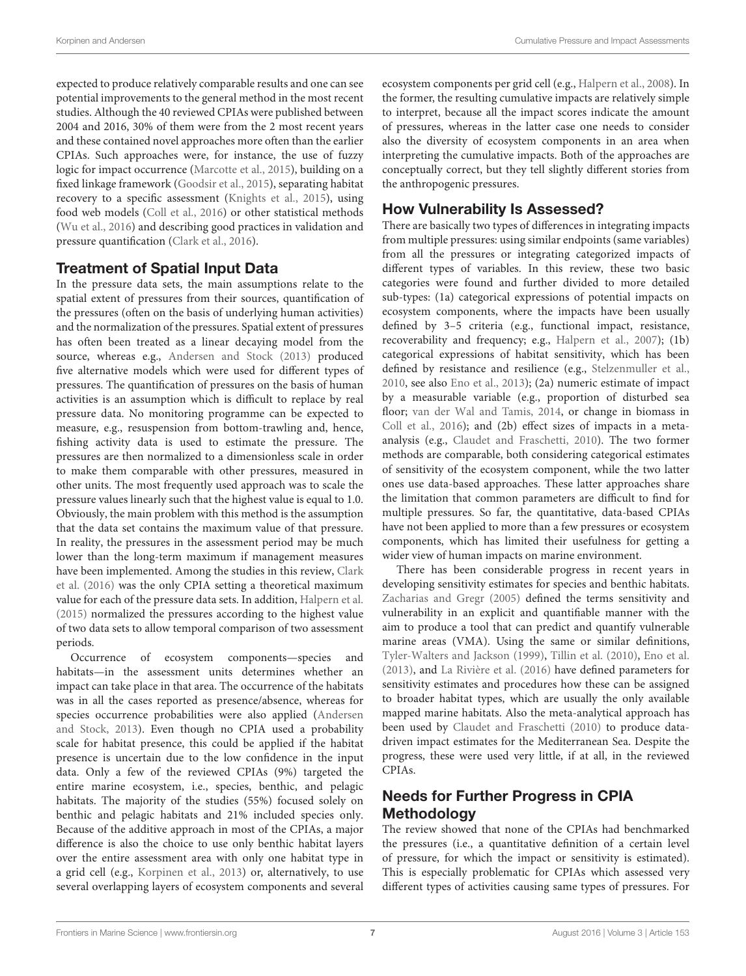expected to produce relatively comparable results and one can see potential improvements to the general method in the most recent studies. Although the 40 reviewed CPIAs were published between 2004 and 2016, 30% of them were from the 2 most recent years and these contained novel approaches more often than the earlier CPIAs. Such approaches were, for instance, the use of fuzzy logic for impact occurrence [\(Marcotte et al., 2015\)](#page-9-6), building on a fixed linkage framework [\(Goodsir et al., 2015\)](#page-9-16), separating habitat recovery to a specific assessment [\(Knights et al., 2015\)](#page-9-10), using food web models [\(Coll et al., 2016\)](#page-8-4) or other statistical methods [\(Wu et al., 2016\)](#page-10-1) and describing good practices in validation and pressure quantification [\(Clark et al., 2016\)](#page-8-9).

#### Treatment of Spatial Input Data

In the pressure data sets, the main assumptions relate to the spatial extent of pressures from their sources, quantification of the pressures (often on the basis of underlying human activities) and the normalization of the pressures. Spatial extent of pressures has often been treated as a linear decaying model from the source, whereas e.g., [Andersen and Stock \(2013\)](#page-8-1) produced five alternative models which were used for different types of pressures. The quantification of pressures on the basis of human activities is an assumption which is difficult to replace by real pressure data. No monitoring programme can be expected to measure, e.g., resuspension from bottom-trawling and, hence, fishing activity data is used to estimate the pressure. The pressures are then normalized to a dimensionless scale in order to make them comparable with other pressures, measured in other units. The most frequently used approach was to scale the pressure values linearly such that the highest value is equal to 1.0. Obviously, the main problem with this method is the assumption that the data set contains the maximum value of that pressure. In reality, the pressures in the assessment period may be much lower than the long-term maximum if management measures have been implemented. Among the studies in this review, Clark et al. [\(2016\)](#page-8-9) was the only CPIA setting a theoretical maximum value for each of the pressure data sets. In addition, [Halpern et al.](#page-9-19) [\(2015\)](#page-9-19) normalized the pressures according to the highest value of two data sets to allow temporal comparison of two assessment periods.

Occurrence of ecosystem components—species and habitats—in the assessment units determines whether an impact can take place in that area. The occurrence of the habitats was in all the cases reported as presence/absence, whereas for species occurrence probabilities were also applied (Andersen and Stock, [2013\)](#page-8-1). Even though no CPIA used a probability scale for habitat presence, this could be applied if the habitat presence is uncertain due to the low confidence in the input data. Only a few of the reviewed CPIAs (9%) targeted the entire marine ecosystem, i.e., species, benthic, and pelagic habitats. The majority of the studies (55%) focused solely on benthic and pelagic habitats and 21% included species only. Because of the additive approach in most of the CPIAs, a major difference is also the choice to use only benthic habitat layers over the entire assessment area with only one habitat type in a grid cell (e.g., [Korpinen et al., 2013\)](#page-9-24) or, alternatively, to use several overlapping layers of ecosystem components and several ecosystem components per grid cell (e.g., [Halpern et al., 2008\)](#page-9-1). In the former, the resulting cumulative impacts are relatively simple to interpret, because all the impact scores indicate the amount of pressures, whereas in the latter case one needs to consider also the diversity of ecosystem components in an area when interpreting the cumulative impacts. Both of the approaches are conceptually correct, but they tell slightly different stories from the anthropogenic pressures.

# How Vulnerability Is Assessed?

There are basically two types of differences in integrating impacts from multiple pressures: using similar endpoints (same variables) from all the pressures or integrating categorized impacts of different types of variables. In this review, these two basic categories were found and further divided to more detailed sub-types: (1a) categorical expressions of potential impacts on ecosystem components, where the impacts have been usually defined by 3–5 criteria (e.g., functional impact, resistance, recoverability and frequency; e.g., [Halpern et al., 2007\)](#page-9-11); (1b) categorical expressions of habitat sensitivity, which has been defined by resistance and resilience (e.g., [Stelzenmuller et al.,](#page-9-15) [2010,](#page-9-15) see also [Eno et al., 2013\)](#page-9-12); (2a) numeric estimate of impact by a measurable variable (e.g., proportion of disturbed sea floor; [van der Wal and Tamis, 2014,](#page-9-5) or change in biomass in [Coll et al., 2016\)](#page-8-4); and (2b) effect sizes of impacts in a metaanalysis (e.g., [Claudet and Fraschetti, 2010\)](#page-8-11). The two former methods are comparable, both considering categorical estimates of sensitivity of the ecosystem component, while the two latter ones use data-based approaches. These latter approaches share the limitation that common parameters are difficult to find for multiple pressures. So far, the quantitative, data-based CPIAs have not been applied to more than a few pressures or ecosystem components, which has limited their usefulness for getting a wider view of human impacts on marine environment.

There has been considerable progress in recent years in developing sensitivity estimates for species and benthic habitats. [Zacharias and Gregr \(2005\)](#page-10-0) defined the terms sensitivity and vulnerability in an explicit and quantifiable manner with the aim to produce a tool that can predict and quantify vulnerable marine areas (VMA). Using the same or similar definitions, [Tyler-Walters and Jackson \(1999\)](#page-9-32), [Tillin et al. \(2010\)](#page-9-33), [Eno et al.](#page-9-12) [\(2013\)](#page-9-12), and [La Rivière et al. \(2016\)](#page-9-34) have defined parameters for sensitivity estimates and procedures how these can be assigned to broader habitat types, which are usually the only available mapped marine habitats. Also the meta-analytical approach has been used by [Claudet and Fraschetti \(2010\)](#page-8-11) to produce datadriven impact estimates for the Mediterranean Sea. Despite the progress, these were used very little, if at all, in the reviewed CPIAs.

# Needs for Further Progress in CPIA **Methodology**

The review showed that none of the CPIAs had benchmarked the pressures (i.e., a quantitative definition of a certain level of pressure, for which the impact or sensitivity is estimated). This is especially problematic for CPIAs which assessed very different types of activities causing same types of pressures. For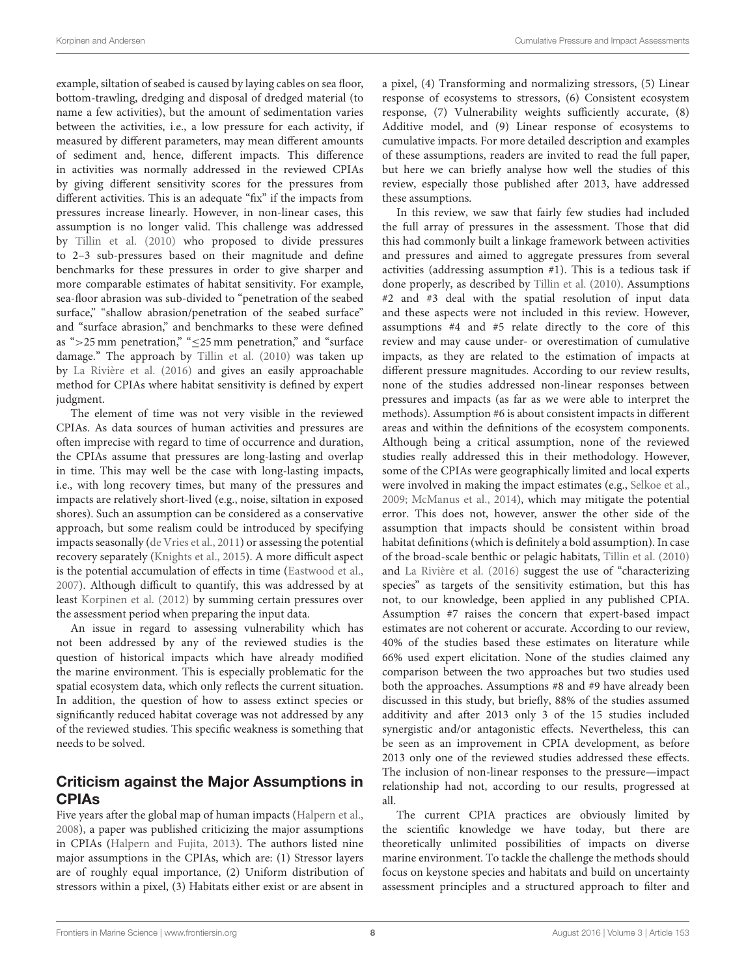example, siltation of seabed is caused by laying cables on sea floor, bottom-trawling, dredging and disposal of dredged material (to name a few activities), but the amount of sedimentation varies between the activities, i.e., a low pressure for each activity, if measured by different parameters, may mean different amounts of sediment and, hence, different impacts. This difference in activities was normally addressed in the reviewed CPIAs by giving different sensitivity scores for the pressures from different activities. This is an adequate "fix" if the impacts from pressures increase linearly. However, in non-linear cases, this assumption is no longer valid. This challenge was addressed by [Tillin et al. \(2010\)](#page-9-33) who proposed to divide pressures to 2–3 sub-pressures based on their magnitude and define benchmarks for these pressures in order to give sharper and more comparable estimates of habitat sensitivity. For example, sea-floor abrasion was sub-divided to "penetration of the seabed surface," "shallow abrasion/penetration of the seabed surface" and "surface abrasion," and benchmarks to these were defined as " $>$ 25 mm penetration," " $\leq$ 25 mm penetration," and "surface damage." The approach by [Tillin et al. \(2010\)](#page-9-33) was taken up by [La Rivière et al. \(2016\)](#page-9-34) and gives an easily approachable method for CPIAs where habitat sensitivity is defined by expert judgment.

The element of time was not very visible in the reviewed CPIAs. As data sources of human activities and pressures are often imprecise with regard to time of occurrence and duration, the CPIAs assume that pressures are long-lasting and overlap in time. This may well be the case with long-lasting impacts, i.e., with long recovery times, but many of the pressures and impacts are relatively short-lived (e.g., noise, siltation in exposed shores). Such an assumption can be considered as a conservative approach, but some realism could be introduced by specifying impacts seasonally [\(de Vries et al., 2011\)](#page-8-13) or assessing the potential recovery separately [\(Knights et al., 2015\)](#page-9-10). A more difficult aspect is the potential accumulation of effects in time [\(Eastwood et al.,](#page-8-14) [2007\)](#page-8-14). Although difficult to quantify, this was addressed by at least [Korpinen et al. \(2012\)](#page-9-3) by summing certain pressures over the assessment period when preparing the input data.

An issue in regard to assessing vulnerability which has not been addressed by any of the reviewed studies is the question of historical impacts which have already modified the marine environment. This is especially problematic for the spatial ecosystem data, which only reflects the current situation. In addition, the question of how to assess extinct species or significantly reduced habitat coverage was not addressed by any of the reviewed studies. This specific weakness is something that needs to be solved.

#### Criticism against the Major Assumptions in CPIAs

Five years after the global map of human impacts [\(Halpern et al.,](#page-9-1) [2008\)](#page-9-1), a paper was published criticizing the major assumptions in CPIAs [\(Halpern and Fujita, 2013\)](#page-9-8). The authors listed nine major assumptions in the CPIAs, which are: (1) Stressor layers are of roughly equal importance, (2) Uniform distribution of stressors within a pixel, (3) Habitats either exist or are absent in a pixel, (4) Transforming and normalizing stressors, (5) Linear response of ecosystems to stressors, (6) Consistent ecosystem response, (7) Vulnerability weights sufficiently accurate, (8) Additive model, and (9) Linear response of ecosystems to cumulative impacts. For more detailed description and examples of these assumptions, readers are invited to read the full paper, but here we can briefly analyse how well the studies of this review, especially those published after 2013, have addressed these assumptions.

In this review, we saw that fairly few studies had included the full array of pressures in the assessment. Those that did this had commonly built a linkage framework between activities and pressures and aimed to aggregate pressures from several activities (addressing assumption #1). This is a tedious task if done properly, as described by [Tillin et al. \(2010\)](#page-9-33). Assumptions #2 and #3 deal with the spatial resolution of input data and these aspects were not included in this review. However, assumptions #4 and #5 relate directly to the core of this review and may cause under- or overestimation of cumulative impacts, as they are related to the estimation of impacts at different pressure magnitudes. According to our review results, none of the studies addressed non-linear responses between pressures and impacts (as far as we were able to interpret the methods). Assumption #6 is about consistent impacts in different areas and within the definitions of the ecosystem components. Although being a critical assumption, none of the reviewed studies really addressed this in their methodology. However, some of the CPIAs were geographically limited and local experts were involved in making the impact estimates (e.g., [Selkoe et al.,](#page-9-2) [2009;](#page-9-2) [McManus et al., 2014\)](#page-9-27), which may mitigate the potential error. This does not, however, answer the other side of the assumption that impacts should be consistent within broad habitat definitions (which is definitely a bold assumption). In case of the broad-scale benthic or pelagic habitats, [Tillin et al. \(2010\)](#page-9-33) and [La Rivière et al. \(2016\)](#page-9-34) suggest the use of "characterizing species" as targets of the sensitivity estimation, but this has not, to our knowledge, been applied in any published CPIA. Assumption #7 raises the concern that expert-based impact estimates are not coherent or accurate. According to our review, 40% of the studies based these estimates on literature while 66% used expert elicitation. None of the studies claimed any comparison between the two approaches but two studies used both the approaches. Assumptions #8 and #9 have already been discussed in this study, but briefly, 88% of the studies assumed additivity and after 2013 only 3 of the 15 studies included synergistic and/or antagonistic effects. Nevertheless, this can be seen as an improvement in CPIA development, as before 2013 only one of the reviewed studies addressed these effects. The inclusion of non-linear responses to the pressure—impact relationship had not, according to our results, progressed at all.

The current CPIA practices are obviously limited by the scientific knowledge we have today, but there are theoretically unlimited possibilities of impacts on diverse marine environment. To tackle the challenge the methods should focus on keystone species and habitats and build on uncertainty assessment principles and a structured approach to filter and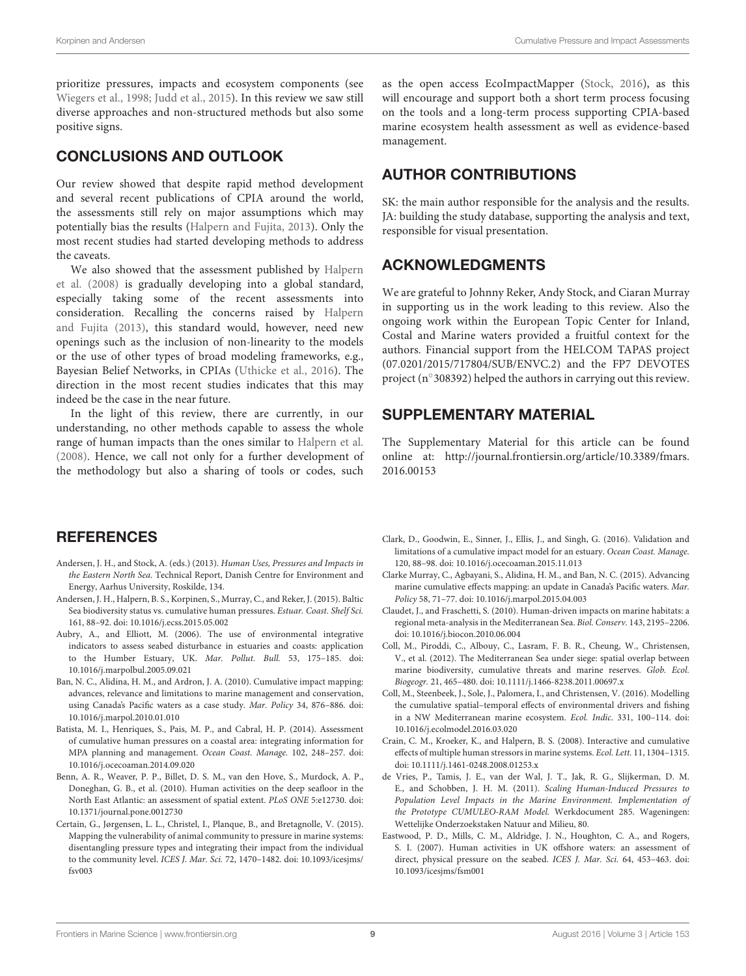prioritize pressures, impacts and ecosystem components (see [Wiegers et al., 1998;](#page-10-2) [Judd et al., 2015\)](#page-9-13). In this review we saw still diverse approaches and non-structured methods but also some positive signs.

### CONCLUSIONS AND OUTLOOK

Our review showed that despite rapid method development and several recent publications of CPIA around the world, the assessments still rely on major assumptions which may potentially bias the results [\(Halpern and Fujita, 2013\)](#page-9-8). Only the most recent studies had started developing methods to address the caveats.

We also showed that the assessment published by Halpern et al. [\(2008\)](#page-9-1) is gradually developing into a global standard, especially taking some of the recent assessments into consideration. Recalling the concerns raised by Halpern and Fujita [\(2013\)](#page-9-8), this standard would, however, need new openings such as the inclusion of non-linearity to the models or the use of other types of broad modeling frameworks, e.g., Bayesian Belief Networks, in CPIAs [\(Uthicke et al., 2016\)](#page-9-35). The direction in the most recent studies indicates that this may indeed be the case in the near future.

In the light of this review, there are currently, in our understanding, no other methods capable to assess the whole range of human impacts than the ones similar to [Halpern et al.](#page-9-1) [\(2008\)](#page-9-1). Hence, we call not only for a further development of the methodology but also a sharing of tools or codes, such

### **REFERENCES**

- <span id="page-8-1"></span>Andersen, J. H., and Stock, A. (eds.) (2013). Human Uses, Pressures and Impacts in the Eastern North Sea. Technical Report, Danish Centre for Environment and Energy, Aarhus University, Roskilde, 134.
- <span id="page-8-6"></span>Andersen, J. H., Halpern, B. S., Korpinen, S., Murray, C., and Reker, J. (2015). Baltic Sea biodiversity status vs. cumulative human pressures. Estuar. Coast. Shelf Sci. 161, 88–92. doi: 10.1016/j.ecss.2015.05.002
- <span id="page-8-7"></span>Aubry, A., and Elliott, M. (2006). The use of environmental integrative indicators to assess seabed disturbance in estuaries and coasts: application to the Humber Estuary, UK. Mar. Pollut. Bull. 53, 175–185. doi: 10.1016/j.marpolbul.2005.09.021
- <span id="page-8-0"></span>Ban, N. C., Alidina, H. M., and Ardron, J. A. (2010). Cumulative impact mapping: advances, relevance and limitations to marine management and conservation, using Canada's Pacific waters as a case study. Mar. Policy 34, 876–886. doi: 10.1016/j.marpol.2010.01.010
- <span id="page-8-8"></span>Batista, M. I., Henriques, S., Pais, M. P., and Cabral, H. P. (2014). Assessment of cumulative human pressures on a coastal area: integrating information for MPA planning and management. Ocean Coast. Manage. 102, 248–257. doi: 10.1016/j.ocecoaman.2014.09.020
- <span id="page-8-3"></span>Benn, A. R., Weaver, P. P., Billet, D. S. M., van den Hove, S., Murdock, A. P., Doneghan, G. B., et al. (2010). Human activities on the deep seafloor in the North East Atlantic: an assessment of spatial extent. PLoS ONE 5:e12730. doi: 10.1371/journal.pone.0012730
- <span id="page-8-2"></span>Certain, G., Jørgensen, L. L., Christel, I., Planque, B., and Bretagnolle, V. (2015). Mapping the vulnerability of animal community to pressure in marine systems: disentangling pressure types and integrating their impact from the individual to the community level. ICES J. Mar. Sci. 72, 1470–1482. doi: 10.1093/icesjms/ fsv003

as the open access EcoImpactMapper [\(Stock, 2016\)](#page-9-36), as this will encourage and support both a short term process focusing on the tools and a long-term process supporting CPIA-based marine ecosystem health assessment as well as evidence-based management.

# AUTHOR CONTRIBUTIONS

SK: the main author responsible for the analysis and the results. JA: building the study database, supporting the analysis and text, responsible for visual presentation.

# ACKNOWLEDGMENTS

We are grateful to Johnny Reker, Andy Stock, and Ciaran Murray in supporting us in the work leading to this review. Also the ongoing work within the European Topic Center for Inland, Costal and Marine waters provided a fruitful context for the authors. Financial support from the HELCOM TAPAS project (07.0201/2015/717804/SUB/ENVC.2) and the FP7 DEVOTES project (n<sup>°</sup> 308392) helped the authors in carrying out this review.

# SUPPLEMENTARY MATERIAL

The Supplementary Material for this article can be found [online at: http://journal.frontiersin.org/article/10.3389/fmars.](http://journal.frontiersin.org/article/10.3389/fmars.2016.00153) 2016.00153

- <span id="page-8-9"></span>Clark, D., Goodwin, E., Sinner, J., Ellis, J., and Singh, G. (2016). Validation and limitations of a cumulative impact model for an estuary. Ocean Coast. Manage. 120, 88–98. doi: 10.1016/j.ocecoaman.2015.11.013
- <span id="page-8-10"></span>Clarke Murray, C., Agbayani, S., Alidina, H. M., and Ban, N. C. (2015). Advancing marine cumulative effects mapping: an update in Canada's Pacific waters. Mar. Policy 58, 71–77. doi: 10.1016/j.marpol.2015.04.003
- <span id="page-8-11"></span>Claudet, J., and Fraschetti, S. (2010). Human-driven impacts on marine habitats: a regional meta-analysis in the Mediterranean Sea. Biol. Conserv. 143, 2195–2206. doi: 10.1016/j.biocon.2010.06.004
- <span id="page-8-12"></span>Coll, M., Piroddi, C., Albouy, C., Lasram, F. B. R., Cheung, W., Christensen, V., et al. (2012). The Mediterranean Sea under siege: spatial overlap between marine biodiversity, cumulative threats and marine reserves. Glob. Ecol. Biogeogr. 21, 465–480. doi: 10.1111/j.1466-8238.2011.00697.x
- <span id="page-8-4"></span>Coll, M., Steenbeek, J., Sole, J., Palomera, I., and Christensen, V. (2016). Modelling the cumulative spatial–temporal effects of environmental drivers and fishing in a NW Mediterranean marine ecosystem. Ecol. Indic. 331, 100–114. doi: 10.1016/j.ecolmodel.2016.03.020
- <span id="page-8-5"></span>Crain, C. M., Kroeker, K., and Halpern, B. S. (2008). Interactive and cumulative effects of multiple human stressors in marine systems. Ecol. Lett. 11, 1304–1315. doi: 10.1111/j.1461-0248.2008.01253.x
- <span id="page-8-13"></span>de Vries, P., Tamis, J. E., van der Wal, J. T., Jak, R. G., Slijkerman, D. M. E., and Schobben, J. H. M. (2011). Scaling Human-Induced Pressures to Population Level Impacts in the Marine Environment. Implementation of the Prototype CUMULEO-RAM Model. Werkdocument 285. Wageningen: Wettelijke Onderzoekstaken Natuur and Milieu, 80.
- <span id="page-8-14"></span>Eastwood, P. D., Mills, C. M., Aldridge, J. N., Houghton, C. A., and Rogers, S. I. (2007). Human activities in UK offshore waters: an assessment of direct, physical pressure on the seabed. ICES J. Mar. Sci. 64, 453–463. doi: 10.1093/icesjms/fsm001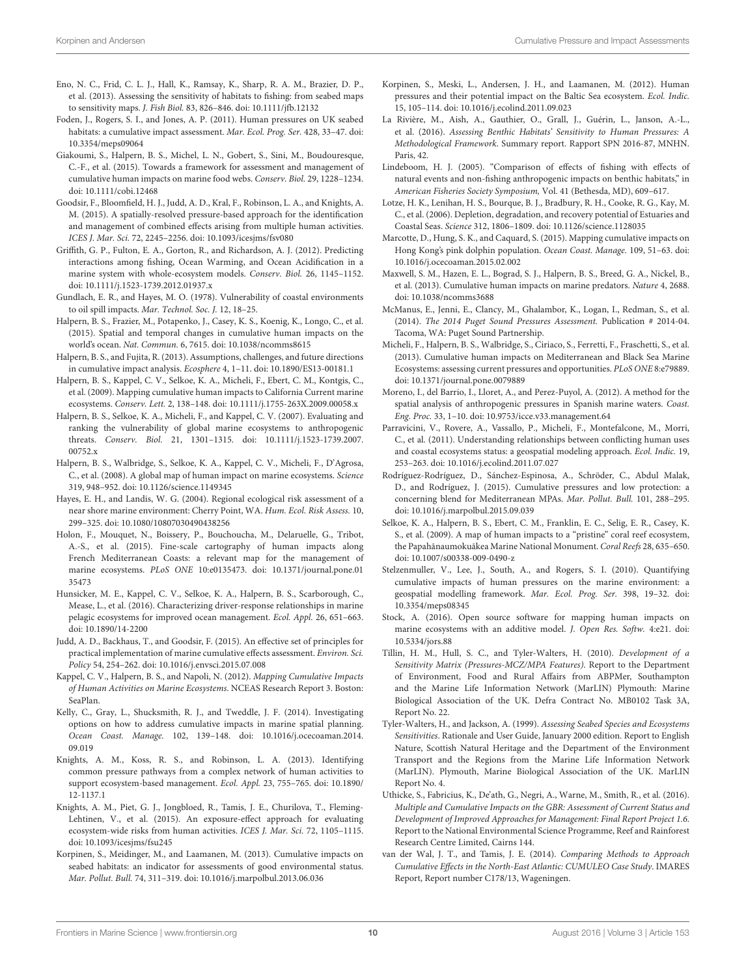- <span id="page-9-12"></span>Eno, N. C., Frid, C. L. J., Hall, K., Ramsay, K., Sharp, R. A. M., Brazier, D. P., et al. (2013). Assessing the sensitivity of habitats to fishing: from seabed maps to sensitivity maps. J. Fish Biol. 83, 826–846. doi: 10.1111/jfb.12132
- <span id="page-9-14"></span>Foden, J., Rogers, S. I., and Jones, A. P. (2011). Human pressures on UK seabed habitats: a cumulative impact assessment. Mar. Ecol. Prog. Ser. 428, 33–47. doi: 10.3354/meps09064
- <span id="page-9-7"></span>Giakoumi, S., Halpern, B. S., Michel, L. N., Gobert, S., Sini, M., Boudouresque, C.-F., et al. (2015). Towards a framework for assessment and management of cumulative human impacts on marine food webs. Conserv. Biol. 29, 1228–1234. doi: 10.1111/cobi.12468
- <span id="page-9-16"></span>Goodsir, F., Bloomfield, H. J., Judd, A. D., Kral, F., Robinson, L. A., and Knights, A. M. (2015). A spatially-resolved pressure-based approach for the identification and management of combined effects arising from multiple human activities. ICES J. Mar. Sci. 72, 2245–2256. doi: 10.1093/icesjms/fsv080
- <span id="page-9-17"></span>Griffith, G. P., Fulton, E. A., Gorton, R., and Richardson, A. J. (2012). Predicting interactions among fishing, Ocean Warming, and Ocean Acidification in a marine system with whole-ecosystem models. Conserv. Biol. 26, 1145–1152. doi: 10.1111/j.1523-1739.2012.01937.x
- Gundlach, E. R., and Hayes, M. O. (1978). Vulnerability of coastal environments to oil spill impacts. Mar. Technol. Soc. J. 12, 18–25.
- <span id="page-9-19"></span>Halpern, B. S., Frazier, M., Potapenko, J., Casey, K. S., Koenig, K., Longo, C., et al. (2015). Spatial and temporal changes in cumulative human impacts on the world's ocean. Nat. Commun. 6, 7615. doi: 10.1038/ncomms8615
- <span id="page-9-8"></span>Halpern, B. S., and Fujita, R. (2013). Assumptions, challenges, and future directions in cumulative impact analysis. Ecosphere 4, 1–11. doi: 10.1890/ES13-00181.1
- <span id="page-9-18"></span>Halpern, B. S., Kappel, C. V., Selkoe, K. A., Micheli, F., Ebert, C. M., Kontgis, C., et al. (2009). Mapping cumulative human impacts to California Current marine ecosystems. Conserv. Lett. 2, 138–148. doi: 10.1111/j.1755-263X.2009.00058.x
- <span id="page-9-11"></span>Halpern, B. S., Selkoe, K. A., Micheli, F., and Kappel, C. V. (2007). Evaluating and ranking the vulnerability of global marine ecosystems to anthropogenic threats. Conserv. Biol. 21, 1301–1315. doi: 10.1111/j.1523-1739.2007. 00752.x
- <span id="page-9-1"></span>Halpern, B. S., Walbridge, S., Selkoe, K. A., Kappel, C. V., Micheli, F., D'Agrosa, C., et al. (2008). A global map of human impact on marine ecosystems. Science 319, 948–952. doi: 10.1126/science.1149345
- <span id="page-9-20"></span>Hayes, E. H., and Landis, W. G. (2004). Regional ecological risk assessment of a near shore marine environment: Cherry Point, WA. Hum. Ecol. Risk Assess. 10, 299–325. doi: 10.1080/10807030490438256
- <span id="page-9-21"></span>Holon, F., Mouquet, N., Boissery, P., Bouchoucha, M., Delaruelle, G., Tribot, A.-S., et al. (2015). Fine-scale cartography of human impacts along French Mediterranean Coasts: a relevant map for the management of marine ecosystems. PLoS ONE 10:e0135473. doi: 10.1371/journal.pone.01 35473
- <span id="page-9-9"></span>Hunsicker, M. E., Kappel, C. V., Selkoe, K. A., Halpern, B. S., Scarborough, C., Mease, L., et al. (2016). Characterizing driver-response relationships in marine pelagic ecosystems for improved ocean management. Ecol. Appl. 26, 651–663. doi: 10.1890/14-2200
- <span id="page-9-13"></span>Judd, A. D., Backhaus, T., and Goodsir, F. (2015). An effective set of principles for practical implementation of marine cumulative effects assessment. Environ. Sci. Policy 54, 254–262. doi: 10.1016/j.envsci.2015.07.008
- <span id="page-9-22"></span>Kappel, C. V., Halpern, B. S., and Napoli, N. (2012). Mapping Cumulative Impacts of Human Activities on Marine Ecosystems. NCEAS Research Report 3. Boston: SeaPlan.
- <span id="page-9-23"></span>Kelly, C., Gray, L., Shucksmith, R. J., and Tweddle, J. F. (2014). Investigating options on how to address cumulative impacts in marine spatial planning. Ocean Coast. Manage. 102, 139–148. doi: 10.1016/j.ocecoaman.2014. 09.019
- <span id="page-9-4"></span>Knights, A. M., Koss, R. S., and Robinson, L. A. (2013). Identifying common pressure pathways from a complex network of human activities to support ecosystem-based management. Ecol. Appl. 23, 755–765. doi: 10.1890/ 12-1137.1
- <span id="page-9-10"></span>Knights, A. M., Piet, G. J., Jongbloed, R., Tamis, J. E., Churilova, T., Fleming-Lehtinen, V., et al. (2015). An exposure-effect approach for evaluating ecosystem-wide risks from human activities. ICES J. Mar. Sci. 72, 1105–1115. doi: 10.1093/icesjms/fsu245
- <span id="page-9-24"></span>Korpinen, S., Meidinger, M., and Laamanen, M. (2013). Cumulative impacts on seabed habitats: an indicator for assessments of good environmental status. Mar. Pollut. Bull. 74, 311–319. doi: 10.1016/j.marpolbul.2013.06.036
- <span id="page-9-3"></span>Korpinen, S., Meski, L., Andersen, J. H., and Laamanen, M. (2012). Human pressures and their potential impact on the Baltic Sea ecosystem. Ecol. Indic. 15, 105–114. doi: 10.1016/j.ecolind.2011.09.023
- <span id="page-9-34"></span>La Rivière, M., Aish, A., Gauthier, O., Grall, J., Guérin, L., Janson, A.-L., et al. (2016). Assessing Benthic Habitats' Sensitivity to Human Pressures: A Methodological Framework. Summary report. Rapport SPN 2016-87, MNHN. Paris, 42
- <span id="page-9-25"></span>Lindeboom, H. J. (2005). "Comparison of effects of fishing with effects of natural events and non-fishing anthropogenic impacts on benthic habitats," in American Fisheries Society Symposium, Vol. 41 (Bethesda, MD), 609–617.
- <span id="page-9-0"></span>Lotze, H. K., Lenihan, H. S., Bourque, B. J., Bradbury, R. H., Cooke, R. G., Kay, M. C., et al. (2006). Depletion, degradation, and recovery potential of Estuaries and Coastal Seas. Science 312, 1806–1809. doi: 10.1126/science.1128035
- <span id="page-9-6"></span>Marcotte, D., Hung, S. K., and Caquard, S. (2015). Mapping cumulative impacts on Hong Kong's pink dolphin population. Ocean Coast. Manage. 109, 51–63. doi: 10.1016/j.ocecoaman.2015.02.002
- <span id="page-9-26"></span>Maxwell, S. M., Hazen, E. L., Bograd, S. J., Halpern, B. S., Breed, G. A., Nickel, B., et al. (2013). Cumulative human impacts on marine predators. Nature 4, 2688. doi: 10.1038/ncomms3688
- <span id="page-9-27"></span>McManus, E., Jenni, E., Clancy, M., Ghalambor, K., Logan, I., Redman, S., et al. (2014). The 2014 Puget Sound Pressures Assessment. Publication # 2014-04. Tacoma, WA: Puget Sound Partnership.
- <span id="page-9-28"></span>Micheli, F., Halpern, B. S., Walbridge, S., Ciriaco, S., Ferretti, F., Fraschetti, S., et al. (2013). Cumulative human impacts on Mediterranean and Black Sea Marine Ecosystems: assessing current pressures and opportunities. PLoS ONE 8:e79889. doi: 10.1371/journal.pone.0079889
- <span id="page-9-29"></span>Moreno, I., del Barrio, I., Lloret, A., and Perez-Puyol, A. (2012). A method for the spatial analysis of anthropogenic pressures in Spanish marine waters. Coast. Eng. Proc. 33, 1–10. doi: 10.9753/icce.v33.management.64
- <span id="page-9-30"></span>Parravicini, V., Rovere, A., Vassallo, P., Micheli, F., Montefalcone, M., Morri, C., et al. (2011). Understanding relationships between conflicting human uses and coastal ecosystems status: a geospatial modeling approach. Ecol. Indic. 19, 253–263. doi: 10.1016/j.ecolind.2011.07.027
- <span id="page-9-31"></span>Rodríguez-Rodríguez, D., Sánchez-Espinosa, A., Schröder, C., Abdul Malak, D., and Rodríguez, J. (2015). Cumulative pressures and low protection: a concerning blend for Mediterranean MPAs. Mar. Pollut. Bull. 101, 288–295. doi: 10.1016/j.marpolbul.2015.09.039
- <span id="page-9-2"></span>Selkoe, K. A., Halpern, B. S., Ebert, C. M., Franklin, E. C., Selig, E. R., Casey, K. S., et al. (2009). A map of human impacts to a "pristine" coral reef ecosystem, the Papahānaumokuākea Marine National Monument. Coral Reefs 28, 635-650. doi: 10.1007/s00338-009-0490-z
- <span id="page-9-15"></span>Stelzenmuller, V., Lee, J., South, A., and Rogers, S. I. (2010). Quantifying cumulative impacts of human pressures on the marine environment: a geospatial modelling framework. Mar. Ecol. Prog. Ser. 398, 19–32. doi: 10.3354/meps08345
- <span id="page-9-36"></span>Stock, A. (2016). Open source software for mapping human impacts on marine ecosystems with an additive model. J. Open Res. Softw. 4:e21. doi: 10.5334/jors.88
- <span id="page-9-33"></span>Tillin, H. M., Hull, S. C., and Tyler-Walters, H. (2010). Development of a Sensitivity Matrix (Pressures-MCZ/MPA Features). Report to the Department of Environment, Food and Rural Affairs from ABPMer, Southampton and the Marine Life Information Network (MarLIN) Plymouth: Marine Biological Association of the UK. Defra Contract No. MB0102 Task 3A, Report No. 22.
- <span id="page-9-32"></span>Tyler-Walters, H., and Jackson, A. (1999). Assessing Seabed Species and Ecosystems Sensitivities. Rationale and User Guide, January 2000 edition. Report to English Nature, Scottish Natural Heritage and the Department of the Environment Transport and the Regions from the Marine Life Information Network (MarLIN). Plymouth, Marine Biological Association of the UK. MarLIN Report No. 4.
- <span id="page-9-35"></span>Uthicke, S., Fabricius, K., De'ath, G., Negri, A., Warne, M., Smith, R., et al. (2016). Multiple and Cumulative Impacts on the GBR: Assessment of Current Status and Development of Improved Approaches for Management: Final Report Project 1.6. Report to the National Environmental Science Programme, Reef and Rainforest Research Centre Limited, Cairns 144.
- <span id="page-9-5"></span>van der Wal, J. T., and Tamis, J. E. (2014). Comparing Methods to Approach Cumulative Effects in the North-East Atlantic: CUMULEO Case Study. IMARES Report, Report number C178/13, Wageningen.